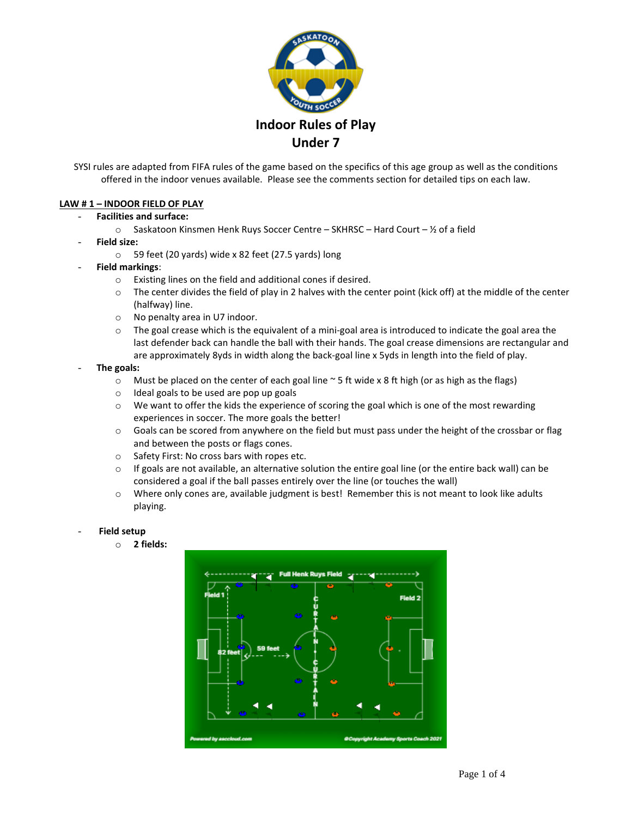

SYSI rules are adapted from FIFA rules of the game based on the specifics of this age group as well as the conditions offered in the indoor venues available. Please see the comments section for detailed tips on each law.

#### **LAW # 1 – INDOOR FIELD OF PLAY**

- **Facilities and surface:**
	- $\circ$  Saskatoon Kinsmen Henk Ruys Soccer Centre SKHRSC Hard Court 1/2 of a field
- **Field size:** 
	- o 59 feet (20 yards) wide x 82 feet (27.5 yards) long
- **Field markings**:
	- o Existing lines on the field and additional cones if desired.
	- $\circ$  The center divides the field of play in 2 halves with the center point (kick off) at the middle of the center (halfway) line.
	- o No penalty area in U7 indoor.
	- $\circ$  The goal crease which is the equivalent of a mini-goal area is introduced to indicate the goal area the last defender back can handle the ball with their hands. The goal crease dimensions are rectangular and are approximately 8yds in width along the back-goal line x 5yds in length into the field of play.
- **The goals:** 
	- $\circ$  Must be placed on the center of each goal line  $\sim$  5 ft wide x 8 ft high (or as high as the flags)
	- o Ideal goals to be used are pop up goals
	- $\circ$  We want to offer the kids the experience of scoring the goal which is one of the most rewarding experiences in soccer. The more goals the better!
	- o Goals can be scored from anywhere on the field but must pass under the height of the crossbar or flag and between the posts or flags cones.
	- o Safety First: No cross bars with ropes etc.
	- $\circ$  If goals are not available, an alternative solution the entire goal line (or the entire back wall) can be considered a goal if the ball passes entirely over the line (or touches the wall)
	- o Where only cones are, available judgment is best! Remember this is not meant to look like adults playing.

#### - **Field setup**

o **2 fields:**

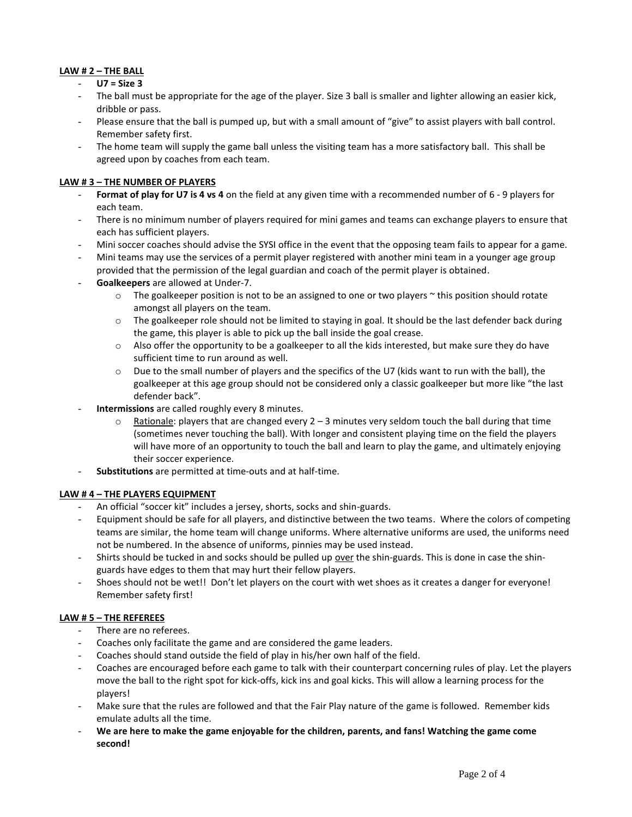# **LAW # 2 – THE BALL**

## - **U7 = Size 3**

- The ball must be appropriate for the age of the player. Size 3 ball is smaller and lighter allowing an easier kick, dribble or pass.
- Please ensure that the ball is pumped up, but with a small amount of "give" to assist players with ball control. Remember safety first.
- The home team will supply the game ball unless the visiting team has a more satisfactory ball. This shall be agreed upon by coaches from each team.

## **LAW # 3 – THE NUMBER OF PLAYERS**

- **Format of play for U7 is 4 vs 4** on the field at any given time with a recommended number of 6 9 players for each team.
- There is no minimum number of players required for mini games and teams can exchange players to ensure that each has sufficient players.
- Mini soccer coaches should advise the SYSI office in the event that the opposing team fails to appear for a game.
- Mini teams may use the services of a permit player registered with another mini team in a younger age group provided that the permission of the legal guardian and coach of the permit player is obtained.
- **Goalkeepers** are allowed at Under-7.
	- $\circ$  The goalkeeper position is not to be an assigned to one or two players  $\sim$  this position should rotate amongst all players on the team.
	- $\circ$  The goalkeeper role should not be limited to staying in goal. It should be the last defender back during the game, this player is able to pick up the ball inside the goal crease.
	- $\circ$  Also offer the opportunity to be a goalkeeper to all the kids interested, but make sure they do have sufficient time to run around as well.
	- $\circ$  Due to the small number of players and the specifics of the U7 (kids want to run with the ball), the goalkeeper at this age group should not be considered only a classic goalkeeper but more like "the last defender back".
- Intermissions are called roughly every 8 minutes.
	- $\circ$  Rationale: players that are changed every 2 3 minutes very seldom touch the ball during that time (sometimes never touching the ball). With longer and consistent playing time on the field the players will have more of an opportunity to touch the ball and learn to play the game, and ultimately enjoying their soccer experience.
- **Substitutions** are permitted at time-outs and at half-time.

#### **LAW # 4 – THE PLAYERS EQUIPMENT**

- An official "soccer kit" includes a jersey, shorts, socks and shin-guards.
- Equipment should be safe for all players, and distinctive between the two teams. Where the colors of competing teams are similar, the home team will change uniforms. Where alternative uniforms are used, the uniforms need not be numbered. In the absence of uniforms, pinnies may be used instead.
- Shirts should be tucked in and socks should be pulled up over the shin-guards. This is done in case the shinguards have edges to them that may hurt their fellow players.
- Shoes should not be wet!! Don't let players on the court with wet shoes as it creates a danger for everyone! Remember safety first!

#### **LAW # 5 – THE REFEREES**

- There are no referees.
- Coaches only facilitate the game and are considered the game leaders.
- Coaches should stand outside the field of play in his/her own half of the field.
- Coaches are encouraged before each game to talk with their counterpart concerning rules of play. Let the players move the ball to the right spot for kick-offs, kick ins and goal kicks. This will allow a learning process for the players!
- Make sure that the rules are followed and that the Fair Play nature of the game is followed. Remember kids emulate adults all the time.
- **We are here to make the game enjoyable for the children, parents, and fans! Watching the game come second!**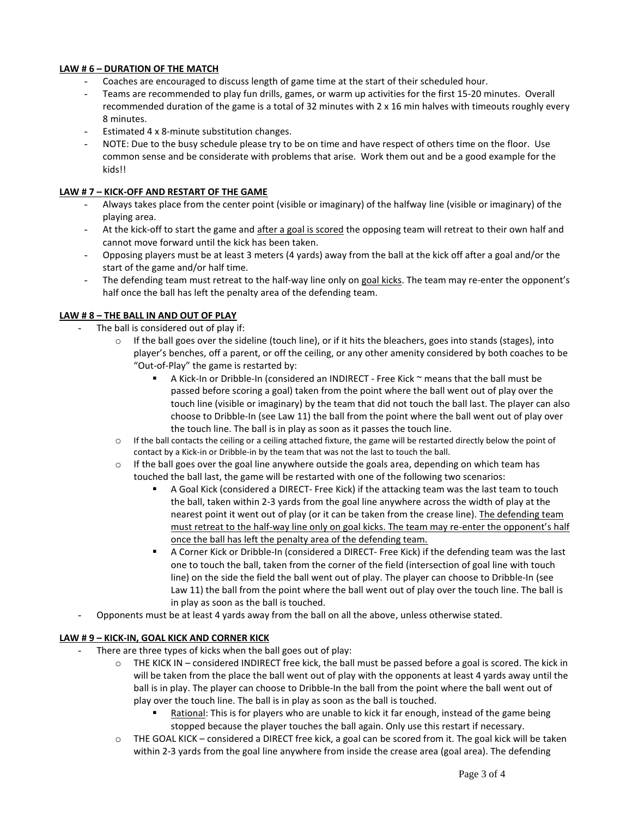## **LAW # 6 – DURATION OF THE MATCH**

- Coaches are encouraged to discuss length of game time at the start of their scheduled hour.
- Teams are recommended to play fun drills, games, or warm up activities for the first 15-20 minutes. Overall recommended duration of the game is a total of 32 minutes with 2 x 16 min halves with timeouts roughly every 8 minutes.
- Estimated 4 x 8-minute substitution changes.
- NOTE: Due to the busy schedule please try to be on time and have respect of others time on the floor. Use common sense and be considerate with problems that arise. Work them out and be a good example for the kids!!

## **LAW # 7 – KICK-OFF AND RESTART OF THE GAME**

- Always takes place from the center point (visible or imaginary) of the halfway line (visible or imaginary) of the playing area.
- At the kick-off to start the game and after a goal is scored the opposing team will retreat to their own half and cannot move forward until the kick has been taken.
- Opposing players must be at least 3 meters (4 yards) away from the ball at the kick off after a goal and/or the start of the game and/or half time.
- The defending team must retreat to the half-way line only on goal kicks. The team may re-enter the opponent's half once the ball has left the penalty area of the defending team.

## **LAW # 8 – THE BALL IN AND OUT OF PLAY**

- The ball is considered out of play if:
	- o If the ball goes over the sideline (touch line), or if it hits the bleachers, goes into stands (stages), into player's benches, off a parent, or off the ceiling, or any other amenity considered by both coaches to be "Out-of-Play" the game is restarted by:
		- A Kick-In or Dribble-In (considered an INDIRECT Free Kick ~ means that the ball must be passed before scoring a goal) taken from the point where the ball went out of play over the touch line (visible or imaginary) by the team that did not touch the ball last. The player can also choose to Dribble-In (see Law 11) the ball from the point where the ball went out of play over the touch line. The ball is in play as soon as it passes the touch line.
	- $\circ$  If the ball contacts the ceiling or a ceiling attached fixture, the game will be restarted directly below the point of contact by a Kick-in or Dribble-in by the team that was not the last to touch the ball.
	- $\circ$  If the ball goes over the goal line anywhere outside the goals area, depending on which team has touched the ball last, the game will be restarted with one of the following two scenarios:
		- A Goal Kick (considered a DIRECT- Free Kick) if the attacking team was the last team to touch the ball, taken within 2-3 yards from the goal line anywhere across the width of play at the nearest point it went out of play (or it can be taken from the crease line). The defending team must retreat to the half-way line only on goal kicks. The team may re-enter the opponent's half once the ball has left the penalty area of the defending team.
		- A Corner Kick or Dribble-In (considered a DIRECT- Free Kick) if the defending team was the last one to touch the ball, taken from the corner of the field (intersection of goal line with touch line) on the side the field the ball went out of play. The player can choose to Dribble-In (see Law 11) the ball from the point where the ball went out of play over the touch line. The ball is in play as soon as the ball is touched.
- Opponents must be at least 4 yards away from the ball on all the above, unless otherwise stated.

#### **LAW # 9 – KICK-IN, GOAL KICK AND CORNER KICK**

- There are three types of kicks when the ball goes out of play:
	- $\circ$  THE KICK IN considered INDIRECT free kick, the ball must be passed before a goal is scored. The kick in will be taken from the place the ball went out of play with the opponents at least 4 yards away until the ball is in play. The player can choose to Dribble-In the ball from the point where the ball went out of play over the touch line. The ball is in play as soon as the ball is touched.
		- Rational: This is for players who are unable to kick it far enough, instead of the game being stopped because the player touches the ball again. Only use this restart if necessary.
	- $\circ$  THE GOAL KICK considered a DIRECT free kick, a goal can be scored from it. The goal kick will be taken within 2-3 yards from the goal line anywhere from inside the crease area (goal area). The defending